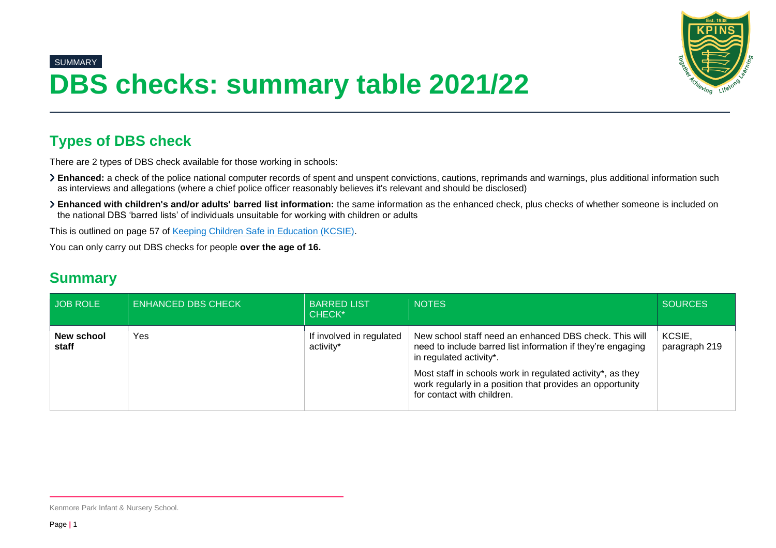

## SUMMARY **DBS checks: summary table 2021/22**

## **Types of DBS check**

There are 2 types of DBS check available for those working in schools:

- **Enhanced:** a check of the police national computer records of spent and unspent convictions, cautions, reprimands and warnings, plus additional information such as interviews and allegations (where a chief police officer reasonably believes it's relevant and should be disclosed)
- **Enhanced with children's and/or adults' barred list information:** the same information as the enhanced check, plus checks of whether someone is included on the national DBS 'barred lists' of individuals unsuitable for working with children or adults

This is outlined on page 57 of [Keeping Children Safe in Education \(KCSIE\).](https://www.gov.uk/government/publications/keeping-children-safe-in-education--2)

You can only carry out DBS checks for people **over the age of 16.**

## **Summary**

| JOB ROLE            | <b>ENHANCED DBS CHECK</b> | <b>BARRED LIST</b><br>CHECK*          | <b>NOTES</b>                                                                                                                                                                                                                                                                | <b>SOURCES</b>          |
|---------------------|---------------------------|---------------------------------------|-----------------------------------------------------------------------------------------------------------------------------------------------------------------------------------------------------------------------------------------------------------------------------|-------------------------|
| New school<br>staff | Yes                       | If involved in regulated<br>activity* | New school staff need an enhanced DBS check. This will<br>need to include barred list information if they're engaging<br>in regulated activity*.<br>Most staff in schools work in regulated activity*, as they<br>work regularly in a position that provides an opportunity | KCSIE.<br>paragraph 219 |
|                     |                           |                                       | for contact with children.                                                                                                                                                                                                                                                  |                         |

Kenmore Park Infant & Nursery School.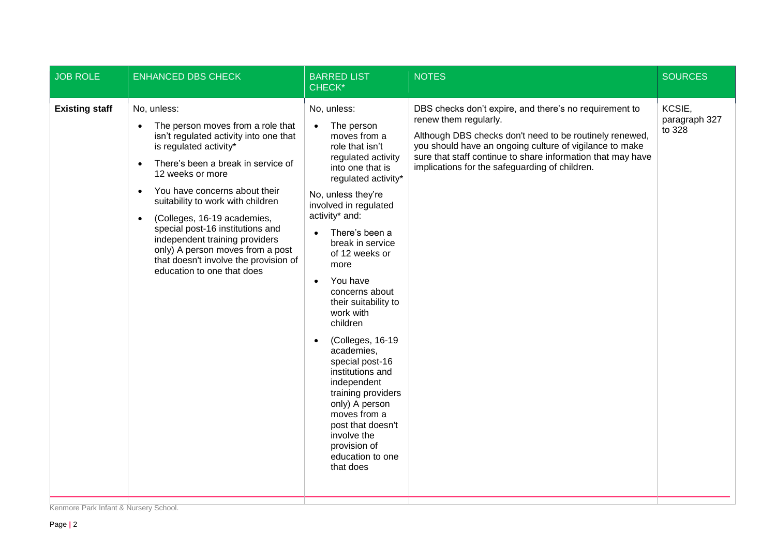| <b>JOB ROLE</b>       | <b>ENHANCED DBS CHECK</b>                                                                                                                                                                                                                                                                                                                                                                                                                                            | <b>BARRED LIST</b><br>CHECK*                                                                                                                                                                                                                                                                                                                                                                                                                                                                                                                                                                                              | <b>NOTES</b>                                                                                                                                                                                                                                                                                                           | <b>SOURCES</b>                    |
|-----------------------|----------------------------------------------------------------------------------------------------------------------------------------------------------------------------------------------------------------------------------------------------------------------------------------------------------------------------------------------------------------------------------------------------------------------------------------------------------------------|---------------------------------------------------------------------------------------------------------------------------------------------------------------------------------------------------------------------------------------------------------------------------------------------------------------------------------------------------------------------------------------------------------------------------------------------------------------------------------------------------------------------------------------------------------------------------------------------------------------------------|------------------------------------------------------------------------------------------------------------------------------------------------------------------------------------------------------------------------------------------------------------------------------------------------------------------------|-----------------------------------|
| <b>Existing staff</b> | No, unless:<br>The person moves from a role that<br>isn't regulated activity into one that<br>is regulated activity*<br>There's been a break in service of<br>12 weeks or more<br>You have concerns about their<br>suitability to work with children<br>(Colleges, 16-19 academies,<br>special post-16 institutions and<br>independent training providers<br>only) A person moves from a post<br>that doesn't involve the provision of<br>education to one that does | No, unless:<br>The person<br>$\bullet$<br>moves from a<br>role that isn't<br>regulated activity<br>into one that is<br>regulated activity*<br>No, unless they're<br>involved in regulated<br>activity* and:<br>There's been a<br>$\bullet$<br>break in service<br>of 12 weeks or<br>more<br>You have<br>$\bullet$<br>concerns about<br>their suitability to<br>work with<br>children<br>(Colleges, 16-19<br>academies,<br>special post-16<br>institutions and<br>independent<br>training providers<br>only) A person<br>moves from a<br>post that doesn't<br>involve the<br>provision of<br>education to one<br>that does | DBS checks don't expire, and there's no requirement to<br>renew them regularly.<br>Although DBS checks don't need to be routinely renewed,<br>you should have an ongoing culture of vigilance to make<br>sure that staff continue to share information that may have<br>implications for the safeguarding of children. | KCSIE,<br>paragraph 327<br>to 328 |
|                       |                                                                                                                                                                                                                                                                                                                                                                                                                                                                      |                                                                                                                                                                                                                                                                                                                                                                                                                                                                                                                                                                                                                           |                                                                                                                                                                                                                                                                                                                        |                                   |

Kenmore Park Infant & Nursery School.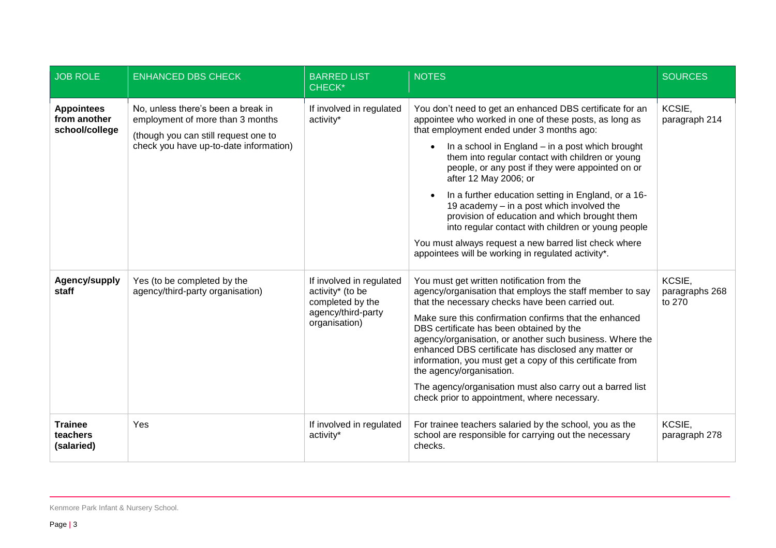| <b>JOB ROLE</b>                                     | <b>ENHANCED DBS CHECK</b>                                                                                                                                | <b>BARRED LIST</b><br>CHECK*                                                                            | <b>NOTES</b>                                                                                                                                                                                                                                                                                                                                                                                                                                                                                                                                                                                                                                                                                | <b>SOURCES</b>                     |
|-----------------------------------------------------|----------------------------------------------------------------------------------------------------------------------------------------------------------|---------------------------------------------------------------------------------------------------------|---------------------------------------------------------------------------------------------------------------------------------------------------------------------------------------------------------------------------------------------------------------------------------------------------------------------------------------------------------------------------------------------------------------------------------------------------------------------------------------------------------------------------------------------------------------------------------------------------------------------------------------------------------------------------------------------|------------------------------------|
| <b>Appointees</b><br>from another<br>school/college | No, unless there's been a break in<br>employment of more than 3 months<br>(though you can still request one to<br>check you have up-to-date information) | If involved in regulated<br>activity*                                                                   | You don't need to get an enhanced DBS certificate for an<br>appointee who worked in one of these posts, as long as<br>that employment ended under 3 months ago:<br>In a school in England – in a post which brought<br>$\bullet$<br>them into regular contact with children or young<br>people, or any post if they were appointed on or<br>after 12 May 2006; or<br>In a further education setting in England, or a 16-<br>19 academy - in a post which involved the<br>provision of education and which brought them<br>into regular contact with children or young people<br>You must always request a new barred list check where<br>appointees will be working in regulated activity*. | KCSIE,<br>paragraph 214            |
| Agency/supply<br>staff                              | Yes (to be completed by the<br>agency/third-party organisation)                                                                                          | If involved in regulated<br>activity* (to be<br>completed by the<br>agency/third-party<br>organisation) | You must get written notification from the<br>agency/organisation that employs the staff member to say<br>that the necessary checks have been carried out.<br>Make sure this confirmation confirms that the enhanced<br>DBS certificate has been obtained by the<br>agency/organisation, or another such business. Where the<br>enhanced DBS certificate has disclosed any matter or<br>information, you must get a copy of this certificate from<br>the agency/organisation.<br>The agency/organisation must also carry out a barred list<br>check prior to appointment, where necessary.                                                                                                  | KCSIE,<br>paragraphs 268<br>to 270 |
| <b>Trainee</b><br>teachers<br>(salaried)            | Yes                                                                                                                                                      | If involved in regulated<br>activity*                                                                   | For trainee teachers salaried by the school, you as the<br>school are responsible for carrying out the necessary<br>checks.                                                                                                                                                                                                                                                                                                                                                                                                                                                                                                                                                                 | KCSIE,<br>paragraph 278            |

Kenmore Park Infant & Nursery School.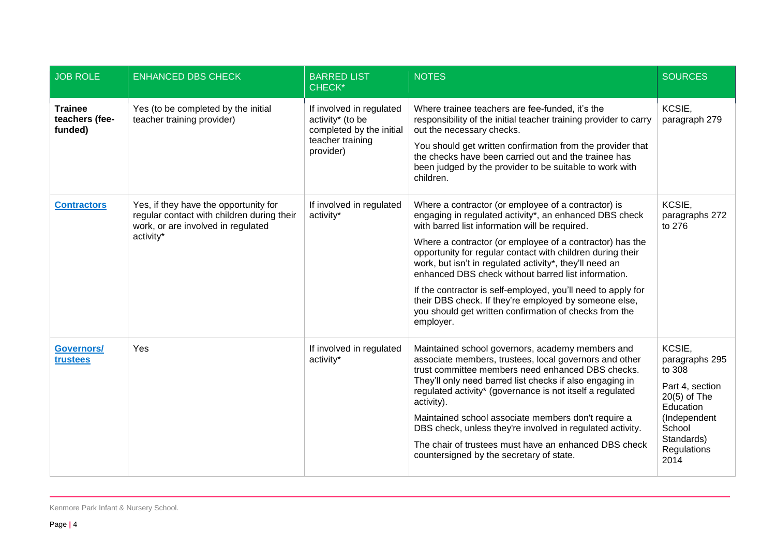| <b>JOB ROLE</b>                             | <b>ENHANCED DBS CHECK</b>                                                                                                              | <b>BARRED LIST</b><br><b>CHECK*</b>                                                                       | <b>NOTES</b>                                                                                                                                                                                                                                                                                                                                                                                                                                                                                                                                                                                                | <b>SOURCES</b>                                                                                                                                      |
|---------------------------------------------|----------------------------------------------------------------------------------------------------------------------------------------|-----------------------------------------------------------------------------------------------------------|-------------------------------------------------------------------------------------------------------------------------------------------------------------------------------------------------------------------------------------------------------------------------------------------------------------------------------------------------------------------------------------------------------------------------------------------------------------------------------------------------------------------------------------------------------------------------------------------------------------|-----------------------------------------------------------------------------------------------------------------------------------------------------|
| <b>Trainee</b><br>teachers (fee-<br>funded) | Yes (to be completed by the initial<br>teacher training provider)                                                                      | If involved in regulated<br>activity* (to be<br>completed by the initial<br>teacher training<br>provider) | Where trainee teachers are fee-funded, it's the<br>responsibility of the initial teacher training provider to carry<br>out the necessary checks.<br>You should get written confirmation from the provider that<br>the checks have been carried out and the trainee has<br>been judged by the provider to be suitable to work with<br>children.                                                                                                                                                                                                                                                              | KCSIE,<br>paragraph 279                                                                                                                             |
| <b>Contractors</b>                          | Yes, if they have the opportunity for<br>regular contact with children during their<br>work, or are involved in regulated<br>activity* | If involved in regulated<br>activity*                                                                     | Where a contractor (or employee of a contractor) is<br>engaging in regulated activity*, an enhanced DBS check<br>with barred list information will be required.<br>Where a contractor (or employee of a contractor) has the<br>opportunity for regular contact with children during their<br>work, but isn't in regulated activity*, they'll need an<br>enhanced DBS check without barred list information.<br>If the contractor is self-employed, you'll need to apply for<br>their DBS check. If they're employed by someone else,<br>you should get written confirmation of checks from the<br>employer. | KCSIE,<br>paragraphs 272<br>to 276                                                                                                                  |
| <b>Governors/</b><br>trustees               | Yes                                                                                                                                    | If involved in regulated<br>activity*                                                                     | Maintained school governors, academy members and<br>associate members, trustees, local governors and other<br>trust committee members need enhanced DBS checks.<br>They'll only need barred list checks if also engaging in<br>regulated activity* (governance is not itself a regulated<br>activity).<br>Maintained school associate members don't require a<br>DBS check, unless they're involved in regulated activity.<br>The chair of trustees must have an enhanced DBS check<br>countersigned by the secretary of state.                                                                             | KCSIE,<br>paragraphs 295<br>to 308<br>Part 4, section<br>$20(5)$ of The<br>Education<br>(Independent<br>School<br>Standards)<br>Regulations<br>2014 |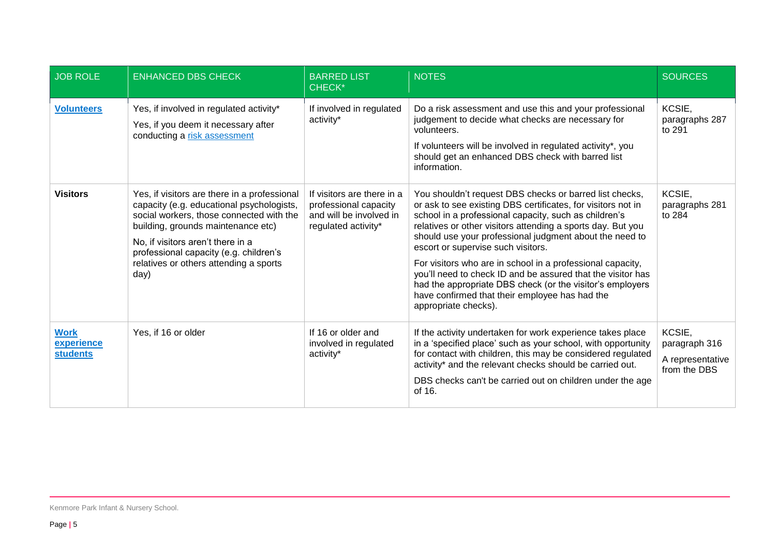| <b>JOB ROLE</b>                              | <b>ENHANCED DBS CHECK</b>                                                                                                                                                                                                                                                                                    | <b>BARRED LIST</b><br><b>CHECK*</b>                                                                   | <b>NOTES</b>                                                                                                                                                                                                                                                                                                                                                                                                                                                                                                                                                                                                         | <b>SOURCES</b>                                              |
|----------------------------------------------|--------------------------------------------------------------------------------------------------------------------------------------------------------------------------------------------------------------------------------------------------------------------------------------------------------------|-------------------------------------------------------------------------------------------------------|----------------------------------------------------------------------------------------------------------------------------------------------------------------------------------------------------------------------------------------------------------------------------------------------------------------------------------------------------------------------------------------------------------------------------------------------------------------------------------------------------------------------------------------------------------------------------------------------------------------------|-------------------------------------------------------------|
| <b>Volunteers</b>                            | Yes, if involved in regulated activity*<br>Yes, if you deem it necessary after<br>conducting a risk assessment                                                                                                                                                                                               | If involved in regulated<br>activity*                                                                 | Do a risk assessment and use this and your professional<br>judgement to decide what checks are necessary for<br>volunteers.<br>If volunteers will be involved in regulated activity*, you<br>should get an enhanced DBS check with barred list<br>information.                                                                                                                                                                                                                                                                                                                                                       | KCSIE,<br>paragraphs 287<br>to 291                          |
| <b>Visitors</b>                              | Yes, if visitors are there in a professional<br>capacity (e.g. educational psychologists,<br>social workers, those connected with the<br>building, grounds maintenance etc)<br>No, if visitors aren't there in a<br>professional capacity (e.g. children's<br>relatives or others attending a sports<br>day) | If visitors are there in a<br>professional capacity<br>and will be involved in<br>regulated activity* | You shouldn't request DBS checks or barred list checks,<br>or ask to see existing DBS certificates, for visitors not in<br>school in a professional capacity, such as children's<br>relatives or other visitors attending a sports day. But you<br>should use your professional judgment about the need to<br>escort or supervise such visitors.<br>For visitors who are in school in a professional capacity,<br>you'll need to check ID and be assured that the visitor has<br>had the appropriate DBS check (or the visitor's employers<br>have confirmed that their employee has had the<br>appropriate checks). | KCSIE,<br>paragraphs 281<br>to 284                          |
| <b>Work</b><br>experience<br><b>students</b> | Yes, if 16 or older                                                                                                                                                                                                                                                                                          | If 16 or older and<br>involved in regulated<br>activity*                                              | If the activity undertaken for work experience takes place<br>in a 'specified place' such as your school, with opportunity<br>for contact with children, this may be considered regulated<br>activity* and the relevant checks should be carried out.<br>DBS checks can't be carried out on children under the age<br>of 16.                                                                                                                                                                                                                                                                                         | KCSIE,<br>paragraph 316<br>A representative<br>from the DBS |